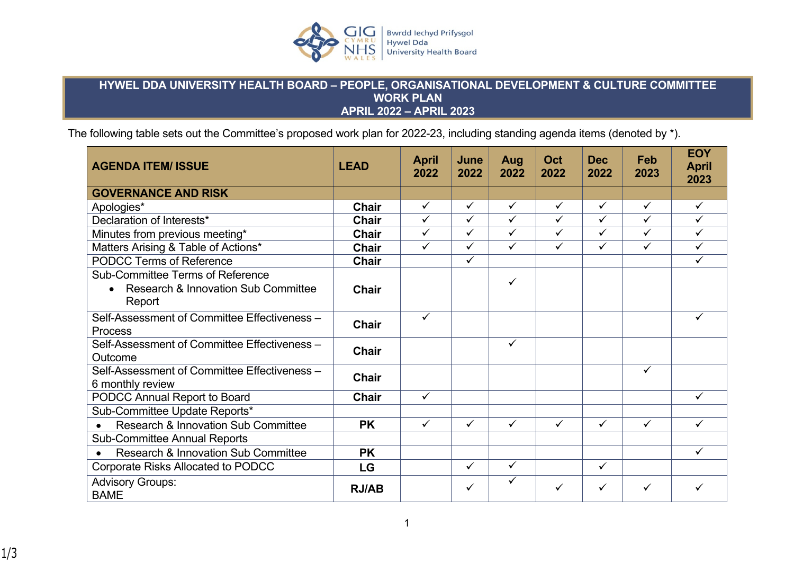

## **HYWEL DDA UNIVERSITY HEALTH BOARD – PEOPLE, ORGANISATIONAL DEVELOPMENT & CULTURE COMMITTEE WORK PLAN APRIL 2022 – APRIL 2023**

The following table sets out the Committee's proposed work plan for 2022-23, including standing agenda items (denoted by \*).

| <b>AGENDA ITEM/ ISSUE</b>                                                                                        | <b>LEAD</b>  | <b>April</b><br>2022 | June<br>2022 | Aug<br>2022  | Oct<br>2022  | <b>Dec</b><br>2022 | Feb<br>2023  | <b>EOY</b><br><b>April</b><br>2023 |
|------------------------------------------------------------------------------------------------------------------|--------------|----------------------|--------------|--------------|--------------|--------------------|--------------|------------------------------------|
| <b>GOVERNANCE AND RISK</b>                                                                                       |              |                      |              |              |              |                    |              |                                    |
| Apologies*                                                                                                       | <b>Chair</b> | $\checkmark$         | $\checkmark$ | $\checkmark$ | $\checkmark$ | ✓                  | $\checkmark$ | $\checkmark$                       |
| Declaration of Interests*                                                                                        | <b>Chair</b> | ✓                    | $\checkmark$ | $\checkmark$ | $\checkmark$ | ✓                  | ✓            | ✓                                  |
| Minutes from previous meeting*                                                                                   | <b>Chair</b> | $\checkmark$         | $\checkmark$ | $\checkmark$ | $\checkmark$ | $\checkmark$       | $\checkmark$ | ✓                                  |
| Matters Arising & Table of Actions*                                                                              | <b>Chair</b> | $\checkmark$         | $\checkmark$ | $\checkmark$ | $\checkmark$ | $\checkmark$       | $\checkmark$ | $\checkmark$                       |
| <b>PODCC Terms of Reference</b>                                                                                  | <b>Chair</b> |                      | $\checkmark$ |              |              |                    |              | $\checkmark$                       |
| <b>Sub-Committee Terms of Reference</b><br><b>Research &amp; Innovation Sub Committee</b><br>$\bullet$<br>Report | <b>Chair</b> |                      |              | $\checkmark$ |              |                    |              |                                    |
| Self-Assessment of Committee Effectiveness -<br>Process                                                          | <b>Chair</b> | $\checkmark$         |              |              |              |                    |              | ✓                                  |
| Self-Assessment of Committee Effectiveness -<br>Outcome                                                          | <b>Chair</b> |                      |              | $\checkmark$ |              |                    |              |                                    |
| Self-Assessment of Committee Effectiveness -<br>6 monthly review                                                 | <b>Chair</b> |                      |              |              |              |                    | $\checkmark$ |                                    |
| PODCC Annual Report to Board                                                                                     | <b>Chair</b> | $\checkmark$         |              |              |              |                    |              | $\checkmark$                       |
| Sub-Committee Update Reports*                                                                                    |              |                      |              |              |              |                    |              |                                    |
| <b>Research &amp; Innovation Sub Committee</b>                                                                   | <b>PK</b>    | $\checkmark$         | $\checkmark$ | $\checkmark$ | ✓            | ✓                  | $\checkmark$ | ✓                                  |
| <b>Sub-Committee Annual Reports</b>                                                                              |              |                      |              |              |              |                    |              |                                    |
| <b>Research &amp; Innovation Sub Committee</b>                                                                   | <b>PK</b>    |                      |              |              |              |                    |              | $\checkmark$                       |
| <b>Corporate Risks Allocated to PODCC</b>                                                                        | LG           |                      | $\checkmark$ | $\checkmark$ |              | $\checkmark$       |              |                                    |
| <b>Advisory Groups:</b><br><b>BAME</b>                                                                           | <b>RJ/AB</b> |                      | ✓            | ✓            | $\checkmark$ | ✓                  | ✓            |                                    |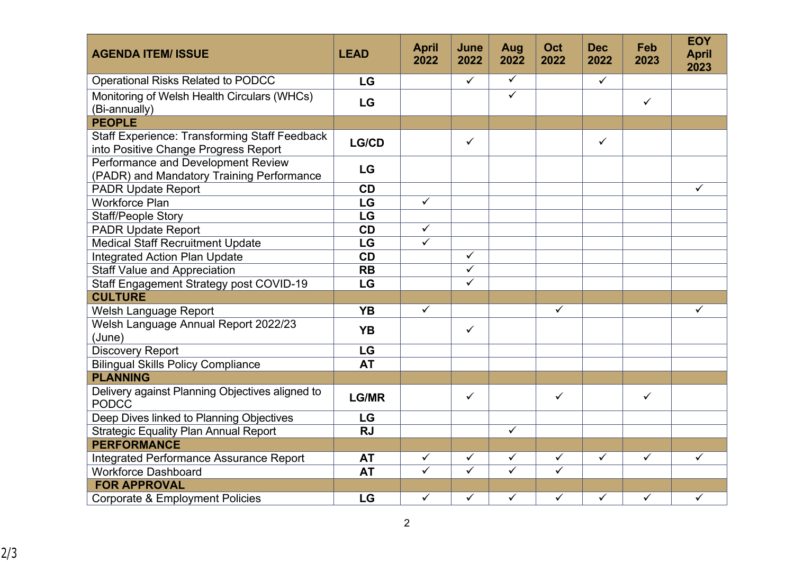| <b>AGENDA ITEM/ ISSUE</b>                                                                    | <b>LEAD</b>  | <b>April</b><br>2022    | June<br>2022            | Aug<br>2022             | <b>Oct</b><br>2022      | <b>Dec</b><br>2022 | Feb<br>2023  | <b>EOY</b><br><b>April</b><br>2023 |
|----------------------------------------------------------------------------------------------|--------------|-------------------------|-------------------------|-------------------------|-------------------------|--------------------|--------------|------------------------------------|
| <b>Operational Risks Related to PODCC</b>                                                    | LG           |                         | $\checkmark$            | $\checkmark$            |                         | $\checkmark$       |              |                                    |
| Monitoring of Welsh Health Circulars (WHCs)<br>(Bi-annually)                                 | LG           |                         |                         | $\checkmark$            |                         |                    | $\checkmark$ |                                    |
| <b>PEOPLE</b>                                                                                |              |                         |                         |                         |                         |                    |              |                                    |
| <b>Staff Experience: Transforming Staff Feedback</b><br>into Positive Change Progress Report | <b>LG/CD</b> |                         | $\checkmark$            |                         |                         | $\checkmark$       |              |                                    |
| Performance and Development Review<br>(PADR) and Mandatory Training Performance              | LG           |                         |                         |                         |                         |                    |              |                                    |
| <b>PADR Update Report</b>                                                                    | <b>CD</b>    |                         |                         |                         |                         |                    |              | ✓                                  |
| <b>Workforce Plan</b>                                                                        | LG           | $\overline{\checkmark}$ |                         |                         |                         |                    |              |                                    |
| <b>Staff/People Story</b>                                                                    | LG           |                         |                         |                         |                         |                    |              |                                    |
| <b>PADR Update Report</b>                                                                    | CD           | $\checkmark$            |                         |                         |                         |                    |              |                                    |
| <b>Medical Staff Recruitment Update</b>                                                      | LG           | $\checkmark$            |                         |                         |                         |                    |              |                                    |
| <b>Integrated Action Plan Update</b>                                                         | <b>CD</b>    |                         | $\checkmark$            |                         |                         |                    |              |                                    |
| <b>Staff Value and Appreciation</b>                                                          | <b>RB</b>    |                         | $\checkmark$            |                         |                         |                    |              |                                    |
| Staff Engagement Strategy post COVID-19                                                      | LG           |                         | $\checkmark$            |                         |                         |                    |              |                                    |
| <b>CULTURE</b>                                                                               |              |                         |                         |                         |                         |                    |              |                                    |
| Welsh Language Report                                                                        | <b>YB</b>    | $\checkmark$            |                         |                         | $\checkmark$            |                    |              | ✓                                  |
| Welsh Language Annual Report 2022/23<br>(June)                                               | <b>YB</b>    |                         | $\checkmark$            |                         |                         |                    |              |                                    |
| <b>Discovery Report</b>                                                                      | LG           |                         |                         |                         |                         |                    |              |                                    |
| <b>Bilingual Skills Policy Compliance</b>                                                    | <b>AT</b>    |                         |                         |                         |                         |                    |              |                                    |
| <b>PLANNING</b>                                                                              |              |                         |                         |                         |                         |                    |              |                                    |
| Delivery against Planning Objectives aligned to<br><b>PODCC</b>                              | <b>LG/MR</b> |                         | $\checkmark$            |                         | $\checkmark$            |                    | $\checkmark$ |                                    |
| Deep Dives linked to Planning Objectives                                                     | LG           |                         |                         |                         |                         |                    |              |                                    |
| <b>Strategic Equality Plan Annual Report</b>                                                 | <b>RJ</b>    |                         |                         | $\checkmark$            |                         |                    |              |                                    |
| <b>PERFORMANCE</b>                                                                           |              |                         |                         |                         |                         |                    |              |                                    |
| Integrated Performance Assurance Report                                                      | <b>AT</b>    | $\checkmark$            | $\checkmark$            | $\checkmark$            | $\checkmark$            | $\checkmark$       | $\checkmark$ | ✓                                  |
| <b>Workforce Dashboard</b>                                                                   | <b>AT</b>    | $\overline{\checkmark}$ | $\overline{\checkmark}$ | $\overline{\checkmark}$ | $\overline{\checkmark}$ |                    |              |                                    |
| <b>FOR APPROVAL</b>                                                                          |              |                         |                         |                         |                         |                    |              |                                    |
| <b>Corporate &amp; Employment Policies</b>                                                   | LG           | $\checkmark$            | $\checkmark$            | $\checkmark$            | $\overline{\checkmark}$ | $\checkmark$       | $\checkmark$ | $\checkmark$                       |